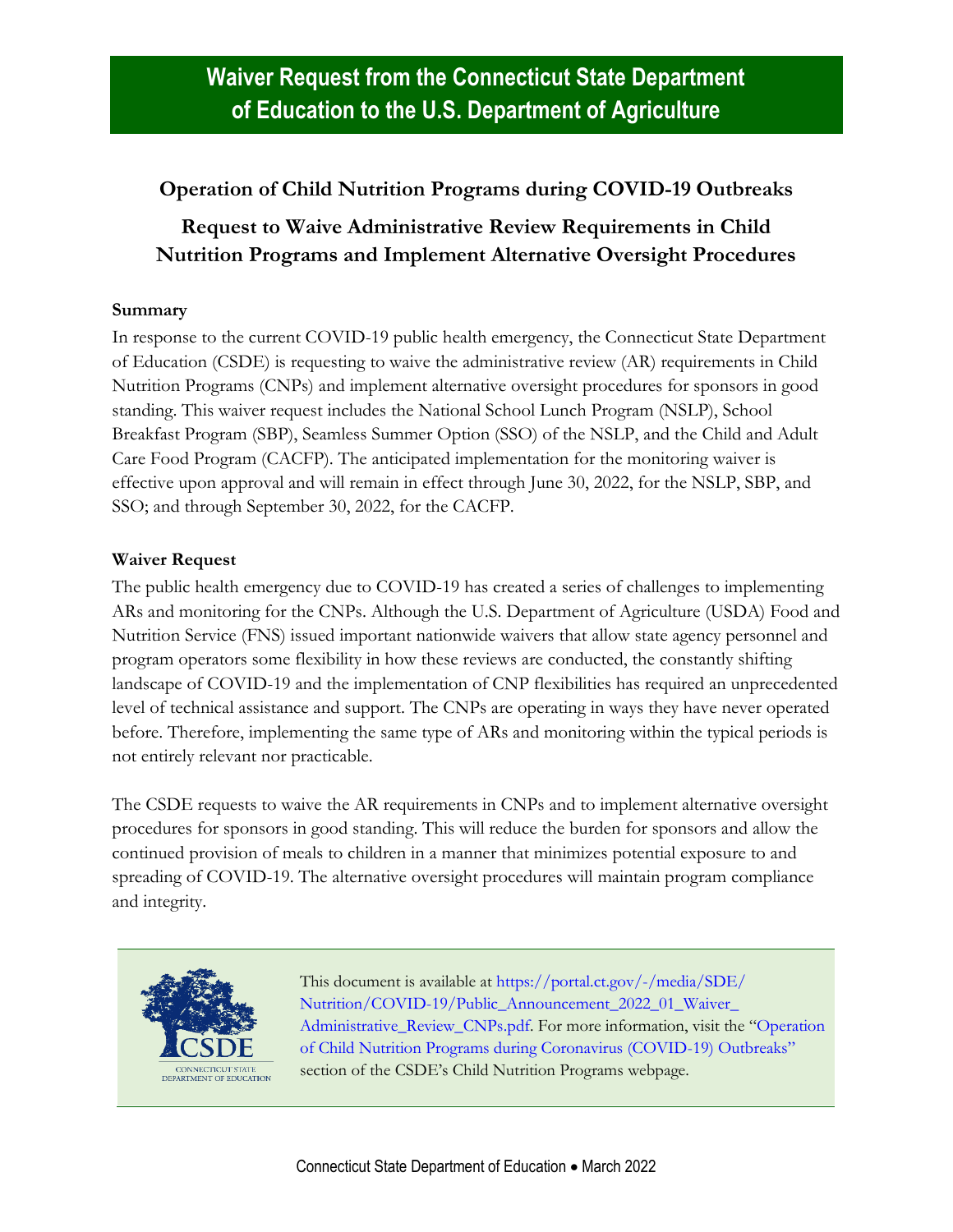## **Operation of Child Nutrition Programs during COVID-19 Outbreaks**

## **Request to Waive Administrative Review Requirements in Child Nutrition Programs and Implement Alternative Oversight Procedures**

## **Summary**

In response to the current COVID-19 public health emergency, the Connecticut State Department of Education (CSDE) is requesting to waive the administrative review (AR) requirements in Child Nutrition Programs (CNPs) and implement alternative oversight procedures for sponsors in good standing. This waiver request includes the National School Lunch Program (NSLP), School Breakfast Program (SBP), Seamless Summer Option (SSO) of the NSLP, and the Child and Adult Care Food Program (CACFP). The anticipated implementation for the monitoring waiver is effective upon approval and will remain in effect through June 30, 2022, for the NSLP, SBP, and SSO; and through September 30, 2022, for the CACFP.

## **Waiver Request**

The public health emergency due to COVID-19 has created a series of challenges to implementing ARs and monitoring for the CNPs. Although the U.S. Department of Agriculture (USDA) Food and Nutrition Service (FNS) issued important nationwide waivers that allow state agency personnel and program operators some flexibility in how these reviews are conducted, the constantly shifting landscape of COVID-19 and the implementation of CNP flexibilities has required an unprecedented level of technical assistance and support. The CNPs are operating in ways they have never operated before. Therefore, implementing the same type of ARs and monitoring within the typical periods is not entirely relevant nor practicable.

The CSDE requests to waive the AR requirements in CNPs and to implement alternative oversight procedures for sponsors in good standing. This will reduce the burden for sponsors and allow the continued provision of meals to children in a manner that minimizes potential exposure to and spreading of COVID-19. The alternative oversight procedures will maintain program compliance and integrity.



This document is available at [https://portal.ct.gov/-/media/SDE/](https://portal.ct.gov/-/media/SDE/‌Nutrition/COVID-19/Public_Announcement_Waiver_Administrative_Review_CNPs_2022_01.pdf) Nutrition/COVID-19/Public\_Announcement\_2022\_01\_Waiver [Administrative\\_Review\\_CNPs.pdf.](https://portal.ct.gov/-/media/SDE/‌Nutrition/COVID-19/Public_Announcement_Waiver_Administrative_Review_CNPs_2022_01.pdf) For more information, visit the "[Operation](https://portal.ct.gov/SDE/Nutrition/Child-Nutrition-Programs#coronavirus)  [of Child Nutrition Programs during Coronavirus \(COVID-19\) Outbreaks](https://portal.ct.gov/SDE/Nutrition/Child-Nutrition-Programs#coronavirus)" section of the CSDE's Child Nutrition Programs webpage.